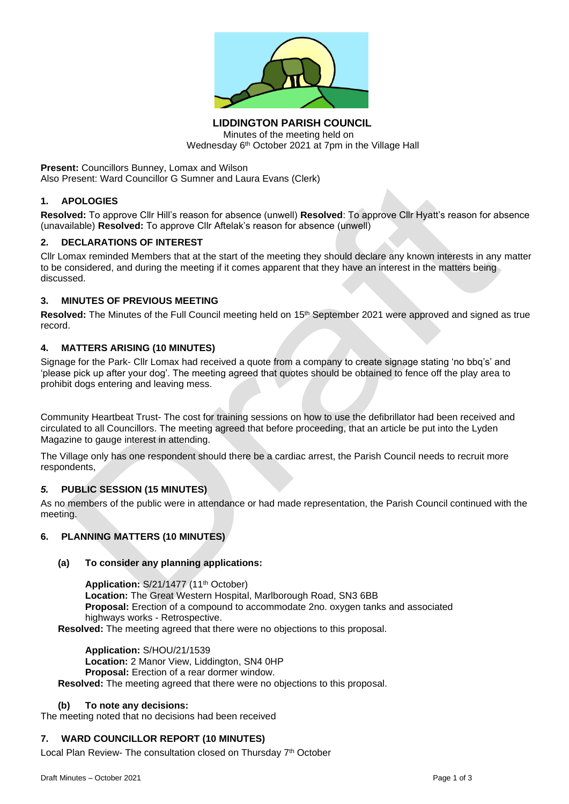

**LIDDINGTON PARISH COUNCIL** Minutes of the meeting held on Wednesday 6<sup>th</sup> October 2021 at 7pm in the Village Hall

**Present:** Councillors Bunney, Lomax and Wilson Also Present: Ward Councillor G Sumner and Laura Evans (Clerk)

### **1. APOLOGIES**

**Resolved:** To approve Cllr Hill's reason for absence (unwell) **Resolved**: To approve Cllr Hyatt's reason for absence (unavailable) **Resolved:** To approve Cllr Aftelak's reason for absence (unwell)

### **2. DECLARATIONS OF INTEREST**

Cllr Lomax reminded Members that at the start of the meeting they should declare any known interests in any matter to be considered, and during the meeting if it comes apparent that they have an interest in the matters being discussed.

## **3. MINUTES OF PREVIOUS MEETING**

Resolved: The Minutes of the Full Council meeting held on 15<sup>th</sup> September 2021 were approved and signed as true record.

## **4. MATTERS ARISING (10 MINUTES)**

Signage for the Park- Cllr Lomax had received a quote from a company to create signage stating 'no bbq's' and 'please pick up after your dog'. The meeting agreed that quotes should be obtained to fence off the play area to prohibit dogs entering and leaving mess.

Community Heartbeat Trust- The cost for training sessions on how to use the defibrillator had been received and circulated to all Councillors. The meeting agreed that before proceeding, that an article be put into the Lyden Magazine to gauge interest in attending.

The Village only has one respondent should there be a cardiac arrest, the Parish Council needs to recruit more respondents,

### *5.* **PUBLIC SESSION (15 MINUTES)**

As no members of the public were in attendance or had made representation, the Parish Council continued with the meeting.

# **6. PLANNING MATTERS (10 MINUTES)**

### **(a) To consider any planning applications:**

Application: S/21/1477 (11<sup>th</sup> October) **Location:** The Great Western Hospital, Marlborough Road, SN3 6BB **Proposal:** Erection of a compound to accommodate 2no. oxygen tanks and associated highways works - Retrospective. **Resolved:** The meeting agreed that there were no objections to this proposal.

**Application:** S/HOU/21/1539 **Location:** 2 Manor View, Liddington, SN4 0HP **Proposal:** Erection of a rear dormer window. **Resolved:** The meeting agreed that there were no objections to this proposal.

### **(b) To note any decisions:**

The meeting noted that no decisions had been received

### **7. WARD COUNCILLOR REPORT (10 MINUTES)**

Local Plan Review- The consultation closed on Thursday 7<sup>th</sup> October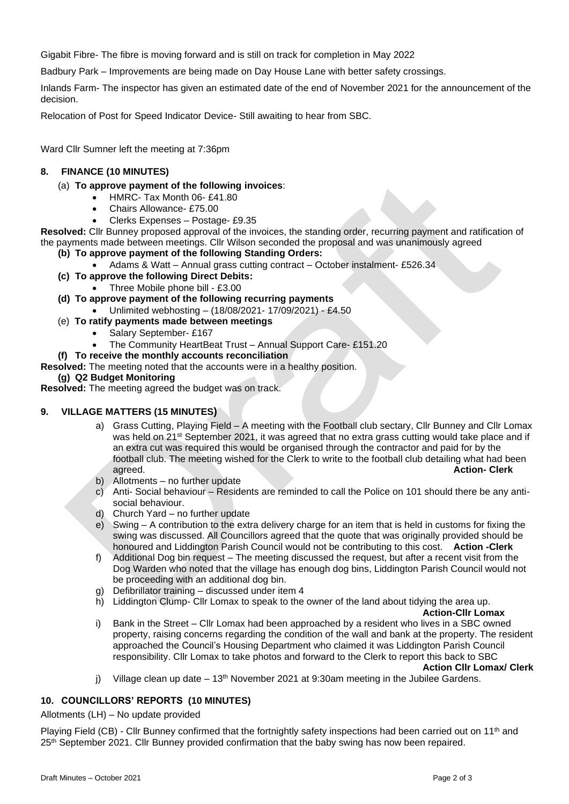Gigabit Fibre- The fibre is moving forward and is still on track for completion in May 2022

Badbury Park – Improvements are being made on Day House Lane with better safety crossings.

Inlands Farm- The inspector has given an estimated date of the end of November 2021 for the announcement of the decision.

Relocation of Post for Speed Indicator Device- Still awaiting to hear from SBC.

Ward Cllr Sumner left the meeting at 7:36pm

# **8. FINANCE (10 MINUTES)**

### (a) **To approve payment of the following invoices**:

- HMRC- Tax Month 06- £41.80
- Chairs Allowance- £75.00
- Clerks Expenses Postage- £9.35

**Resolved:** Cllr Bunney proposed approval of the invoices, the standing order, recurring payment and ratification of the payments made between meetings. Cllr Wilson seconded the proposal and was unanimously agreed

- **(b) To approve payment of the following Standing Orders:**
	- Adams & Watt Annual grass cutting contract October instalment- £526.34
- **(c) To approve the following Direct Debits:**
	- Three Mobile phone bill £3.00
- **(d) To approve payment of the following recurring payments**
	- Unlimited webhosting (18/08/2021- 17/09/2021) £4.50
- (e) **To ratify payments made between meetings**
	- Salary September- £167
	- The Community HeartBeat Trust Annual Support Care- £151.20
- **(f) To receive the monthly accounts reconciliation**
- **Resolved:** The meeting noted that the accounts were in a healthy position.

## **(g) Q2 Budget Monitoring**

**Resolved:** The meeting agreed the budget was on track.

### **9. VILLAGE MATTERS (15 MINUTES)**

- a) Grass Cutting, Playing Field A meeting with the Football club sectary, Cllr Bunney and Cllr Lomax was held on 21<sup>st</sup> September 2021, it was agreed that no extra grass cutting would take place and if an extra cut was required this would be organised through the contractor and paid for by the football club. The meeting wished for the Clerk to write to the football club detailing what had been agreed. **Action- Clerk**
- b) Allotments no further update
- c) Anti- Social behaviour Residents are reminded to call the Police on 101 should there be any antisocial behaviour.
- d) Church Yard no further update
- e) Swing A contribution to the extra delivery charge for an item that is held in customs for fixing the swing was discussed. All Councillors agreed that the quote that was originally provided should be honoured and Liddington Parish Council would not be contributing to this cost. **Action -Clerk**
- f) Additional Dog bin request The meeting discussed the request, but after a recent visit from the Dog Warden who noted that the village has enough dog bins, Liddington Parish Council would not be proceeding with an additional dog bin.
- g) Defibrillator training discussed under item 4
- h) Liddington Clump- Cllr Lomax to speak to the owner of the land about tidying the area up.

### **Action-Cllr Lomax**

i) Bank in the Street – Cllr Lomax had been approached by a resident who lives in a SBC owned property, raising concerns regarding the condition of the wall and bank at the property. The resident approached the Council's Housing Department who claimed it was Liddington Parish Council responsibility. Cllr Lomax to take photos and forward to the Clerk to report this back to SBC

#### **Action Cllr Lomax/ Clerk**

j) Village clean up date  $-13<sup>th</sup>$  November 2021 at 9:30am meeting in the Jubilee Gardens.

### **10. COUNCILLORS' REPORTS (10 MINUTES)**

Allotments (LH) – No update provided

Playing Field (CB) - Cllr Bunney confirmed that the fortnightly safety inspections had been carried out on 11<sup>th</sup> and 25<sup>th</sup> September 2021. Cllr Bunney provided confirmation that the baby swing has now been repaired.